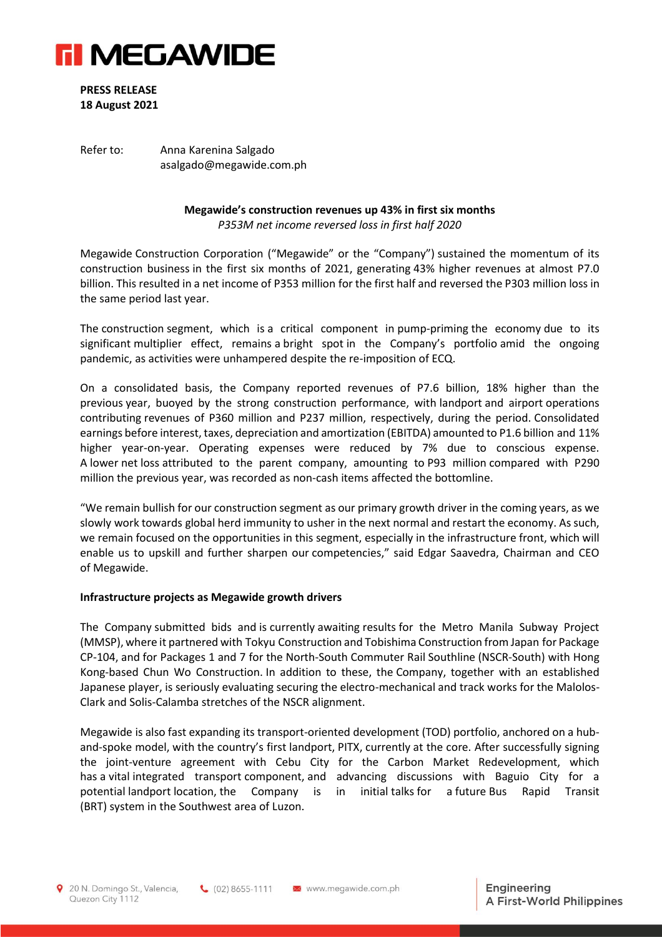

**PRESS RELEASE 18 August 2021**

Refer to: Anna Karenina Salgado asalgado@megawide.com.ph

## **Megawide's construction revenues up 43% in first six months**

*P353M net income reversed loss in first half 2020*

Megawide Construction Corporation ("Megawide" or the "Company") sustained the momentum of its construction business in the first six months of 2021, generating 43% higher revenues at almost P7.0 billion. This resulted in a net income of P353 million for the first half and reversed the P303 million loss in the same period last year.

The construction segment, which is a critical component in pump-priming the economy due to its significant multiplier effect, remains a bright spot in the Company's portfolio amid the ongoing pandemic, as activities were unhampered despite the re-imposition of ECQ.

On a consolidated basis, the Company reported revenues of P7.6 billion, 18% higher than the previous year, buoyed by the strong construction performance, with landport and airport operations contributing revenues of P360 million and P237 million, respectively, during the period. Consolidated earnings before interest, taxes, depreciation and amortization (EBITDA) amounted to P1.6 billion and 11% higher year-on-year. Operating expenses were reduced by 7% due to conscious expense. A lower net loss attributed to the parent company, amounting to P93 million compared with P290 million the previous year, was recorded as non-cash items affected the bottomline.

"We remain bullish for our construction segment as our primary growth driver in the coming years, as we slowly work towards global herd immunity to usher in the next normal and restart the economy. As such, we remain focused on the opportunities in this segment, especially in the infrastructure front, which will enable us to upskill and further sharpen our competencies," said Edgar Saavedra, Chairman and CEO of Megawide.

## **Infrastructure projects as Megawide growth drivers**

The Company submitted bids and is currently awaiting results for the Metro Manila Subway Project (MMSP), where it partnered with Tokyu Construction and Tobishima Construction from Japan for Package CP-104, and for Packages 1 and 7 for the North-South Commuter Rail Southline (NSCR-South) with Hong Kong-based Chun Wo Construction. In addition to these, the Company, together with an established Japanese player, is seriously evaluating securing the electro-mechanical and track works for the Malolos-Clark and Solis-Calamba stretches of the NSCR alignment.

Megawide is also fast expanding its transport-oriented development (TOD) portfolio, anchored on a huband-spoke model, with the country's first landport, PITX, currently at the core. After successfully signing the joint-venture agreement with Cebu City for the Carbon Market Redevelopment, which has a vital integrated transport component, and advancing discussions with Baguio City for a potential landport location, the Company is in initial talks for a future Bus Rapid Transit (BRT) system in the Southwest area of Luzon.